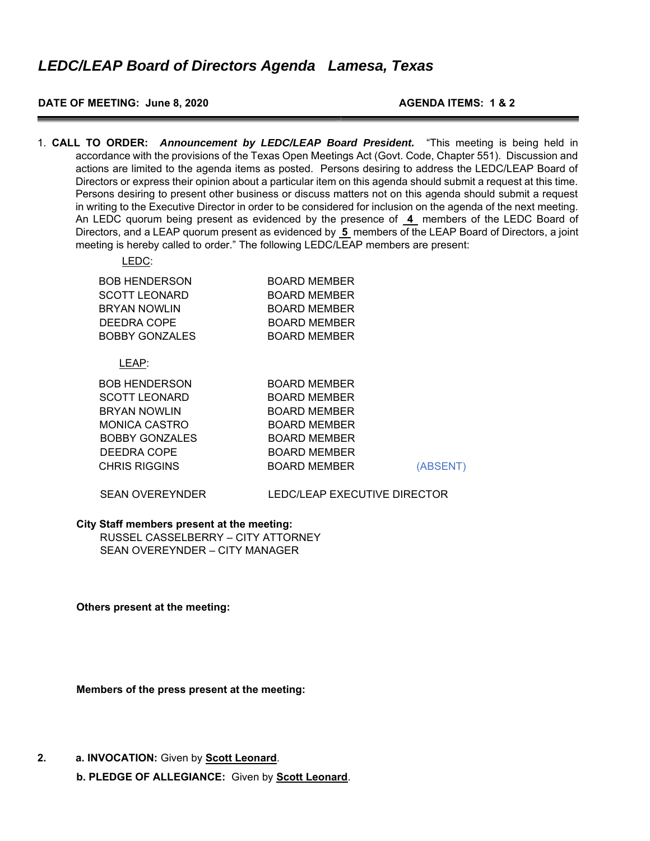# **DATE OF MEETING: June 8, 2020 AGENDA ITEMS: 1 & 2**

1. **CALL TO ORDER:** *Announcement by LEDC/LEAP Board President.* "This meeting is being held in accordance with the provisions of the Texas Open Meetings Act (Govt. Code, Chapter 551). Discussion and actions are limited to the agenda items as posted. Persons desiring to address the LEDC/LEAP Board of Directors or express their opinion about a particular item on this agenda should submit a request at this time. Persons desiring to present other business or discuss matters not on this agenda should submit a request in writing to the Executive Director in order to be considered for inclusion on the agenda of the next meeting. An LEDC quorum being present as evidenced by the presence of **4** members of the LEDC Board of Directors, and a LEAP quorum present as evidenced by **5** members of the LEAP Board of Directors, a joint meeting is hereby called to order." The following LEDC/LEAP members are present:

| LEDC:                 |                     |
|-----------------------|---------------------|
| <b>BOB HENDERSON</b>  | <b>BOARD MEMBER</b> |
| <b>SCOTT LEONARD</b>  | <b>BOARD MEMBER</b> |
| <b>BRYAN NOWLIN</b>   | <b>BOARD MEMBER</b> |
| DEEDRA COPE           | <b>BOARD MEMBER</b> |
| <b>BOBBY GONZALES</b> | <b>BOARD MEMBER</b> |
|                       |                     |
| LEAP:                 |                     |
| <b>BOB HENDERSON</b>  | <b>BOARD MEMBER</b> |
| SCOTT LEONARD         | ROADD MEMRED        |

| <b>SCOTT LEONARD</b>  | <b>BOARD MEMBER</b> |          |
|-----------------------|---------------------|----------|
| <b>BRYAN NOWLIN</b>   | <b>BOARD MEMBER</b> |          |
| <b>MONICA CASTRO</b>  | <b>BOARD MEMBER</b> |          |
| <b>BOBBY GONZALES</b> | <b>BOARD MEMBER</b> |          |
| DEEDRA COPE           | <b>BOARD MEMBER</b> |          |
| <b>CHRIS RIGGINS</b>  | <b>BOARD MEMBER</b> | (ABSENT) |
|                       |                     |          |

#### SEAN OVEREYNDER LEDC/LEAP EXECUTIVE DIRECTOR

#### **City Staff members present at the meeting:**  RUSSEL CASSELBERRY – CITY ATTORNEY SEAN OVEREYNDER – CITY MANAGER

**Others present at the meeting:** 

**Members of the press present at the meeting:** 

**2. a. INVOCATION:** Given by **Scott Leonard**.

**b. PLEDGE OF ALLEGIANCE:** Given by **Scott Leonard**.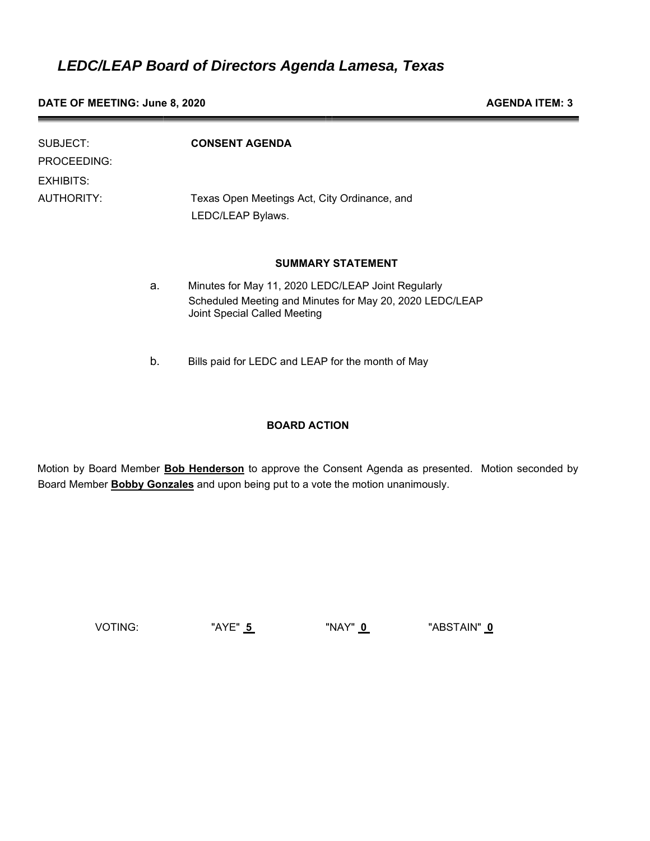**DATE OF MEETING: June 8, 2020 AGENDA ITEM: 3** 

| SUBJECT:<br>PROCEEDING: |    | <b>CONSENT AGENDA</b>                                                                                                                          |
|-------------------------|----|------------------------------------------------------------------------------------------------------------------------------------------------|
| EXHIBITS:               |    |                                                                                                                                                |
| AUTHORITY:              |    | Texas Open Meetings Act, City Ordinance, and<br>LEDC/LEAP Bylaws.                                                                              |
|                         |    | <b>SUMMARY STATEMENT</b>                                                                                                                       |
|                         | a. | Minutes for May 11, 2020 LEDC/LEAP Joint Regularly<br>Scheduled Meeting and Minutes for May 20, 2020 LEDC/LEAP<br>Joint Special Called Meeting |

b. Bills paid for LEDC and LEAP for the month of May

# **BOARD ACTION**

Motion by Board Member **Bob Henderson** to approve the Consent Agenda as presented. Motion seconded by Board Member **Bobby Gonzales** and upon being put to a vote the motion unanimously.

VOTING: "AYE" **5** "NAY" **0** "ABSTAIN" **0**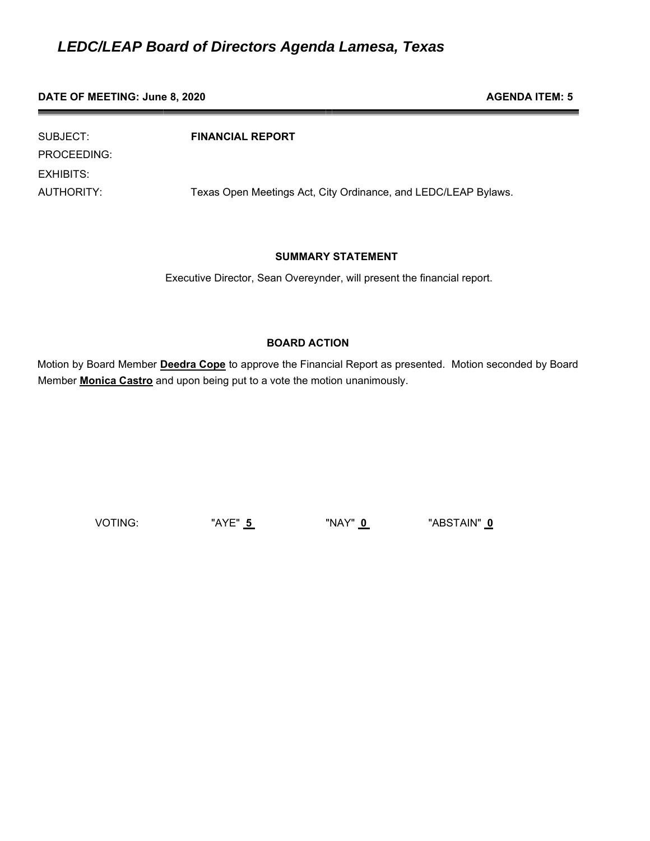#### **DATE OF MEETING: June 8, 2020 AGENDA ITEM: 5 AGENDA ITEM: 5**

SUBJECT: **FINANCIAL REPORT** PROCEEDING: EXHIBITS: AUTHORITY: Texas Open Meetings Act, City Ordinance, and LEDC/LEAP Bylaws.

# **SUMMARY STATEMENT**

Executive Director, Sean Overeynder, will present the financial report.

# **BOARD ACTION**

Motion by Board Member **Deedra Cope** to approve the Financial Report as presented. Motion seconded by Board Member **Monica Castro** and upon being put to a vote the motion unanimously.

VOTING: "AYE" **5** "NAY" **0** "ABSTAIN" **0**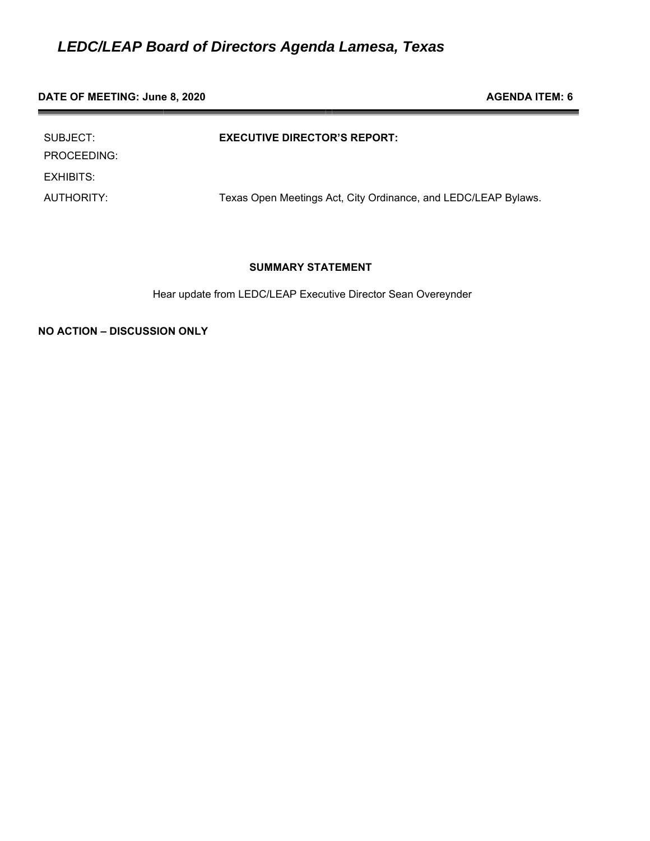#### **DATE OF MEETING: June 8, 2020 AGENDA ITEM: 6 AGENDA ITEM: 6**

| SUBJECT:<br>PROCEEDING: | <b>EXECUTIVE DIRECTOR'S REPORT:</b>                            |
|-------------------------|----------------------------------------------------------------|
| EXHIBITS:               |                                                                |
| AUTHORITY:              | Texas Open Meetings Act, City Ordinance, and LEDC/LEAP Bylaws. |

# **SUMMARY STATEMENT**

Hear update from LEDC/LEAP Executive Director Sean Overeynder

**NO ACTION – DISCUSSION ONLY**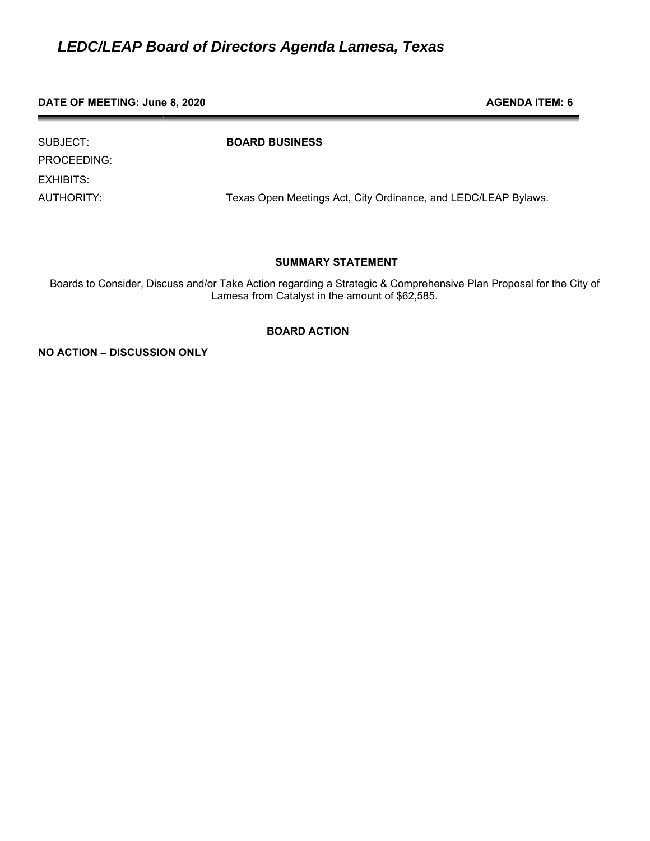#### **DATE OF MEETING: June 8, 2020 AGENDA ITEM: 6 AGENDA ITEM: 6**

PROCEEDING: EXHIBITS:

SUBJECT: **BOARD BUSINESS**

AUTHORITY: Texas Open Meetings Act, City Ordinance, and LEDC/LEAP Bylaws.

### **SUMMARY STATEMENT**

Boards to Consider, Discuss and/or Take Action regarding a Strategic & Comprehensive Plan Proposal for the City of Lamesa from Catalyst in the amount of \$62,585.

### **BOARD ACTION**

**NO ACTION – DISCUSSION ONLY**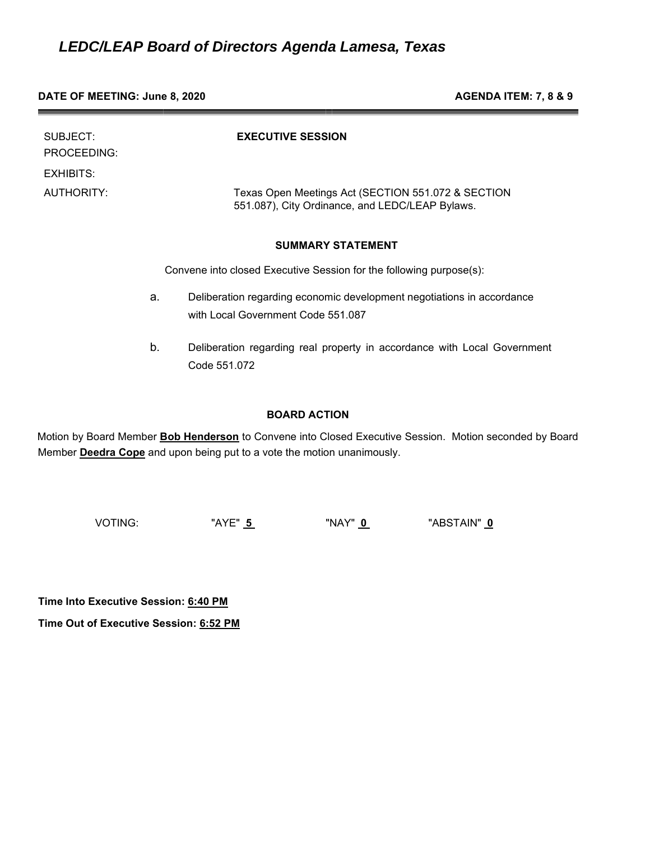#### **DATE OF MEETING: June 8, 2020 AGENDA ITEM: 7, 8 & 9**

| SUBJECT:<br>PROCEEDING:<br>EXHIBITS: |    | <b>EXECUTIVE SESSION</b>                                                                              |
|--------------------------------------|----|-------------------------------------------------------------------------------------------------------|
| AUTHORITY:                           |    | Texas Open Meetings Act (SECTION 551.072 & SECTION<br>551.087), City Ordinance, and LEDC/LEAP Bylaws. |
|                                      |    | <b>SUMMARY STATEMENT</b>                                                                              |
|                                      |    | Convene into closed Executive Session for the following purpose(s):                                   |
|                                      | a. | Deliberation regarding economic development negotiations in accordance                                |

with Local Government Code 551.087

b. Deliberation regarding real property in accordance with Local Government Code 551.072

# **BOARD ACTION**

Motion by Board Member **Bob Henderson** to Convene into Closed Executive Session. Motion seconded by Board Member **Deedra Cope** and upon being put to a vote the motion unanimously.

VOTING: "AYE" **5** "NAY" **0** "ABSTAIN" **0** 

**Time Into Executive Session: 6:40 PM**

**Time Out of Executive Session: 6:52 PM**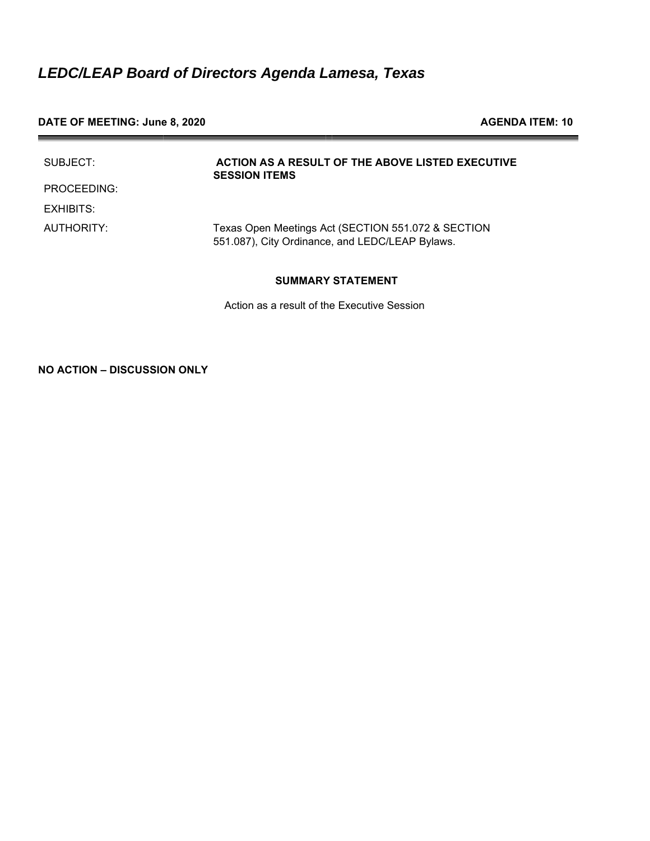# **DATE OF MEETING: June 8, 2020 AGENDA ITEM: 10**

| SUBJECT:    | ACTION AS A RESULT OF THE ABOVE LISTED EXECUTIVE<br><b>SESSION ITEMS</b>                              |
|-------------|-------------------------------------------------------------------------------------------------------|
| PROCEEDING: |                                                                                                       |
| EXHIBITS:   |                                                                                                       |
| AUTHORITY:  | Texas Open Meetings Act (SECTION 551.072 & SECTION<br>551.087), City Ordinance, and LEDC/LEAP Bylaws. |

# **SUMMARY STATEMENT**

Action as a result of the Executive Session

**NO ACTION – DISCUSSION ONLY**